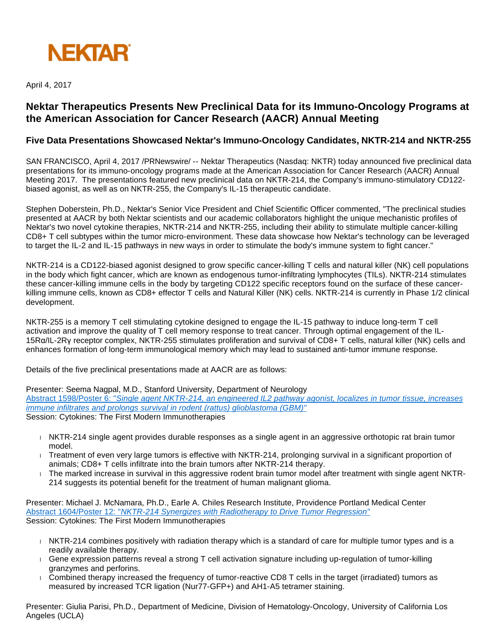

April 4, 2017

# **Nektar Therapeutics Presents New Preclinical Data for its Immuno-Oncology Programs at the American Association for Cancer Research (AACR) Annual Meeting**

## **Five Data Presentations Showcased Nektar's Immuno-Oncology Candidates, NKTR-214 and NKTR-255**

SAN FRANCISCO, April 4, 2017 /PRNewswire/ -- Nektar Therapeutics (Nasdaq: NKTR) today announced five preclinical data presentations for its immuno-oncology programs made at the American Association for Cancer Research (AACR) Annual Meeting 2017. The presentations featured new preclinical data on NKTR-214, the Company's immuno-stimulatory CD122 biased agonist, as well as on NKTR-255, the Company's IL-15 therapeutic candidate.

Stephen Doberstein, Ph.D., Nektar's Senior Vice President and Chief Scientific Officer commented, "The preclinical studies presented at AACR by both Nektar scientists and our academic collaborators highlight the unique mechanistic profiles of Nektar's two novel cytokine therapies, NKTR-214 and NKTR-255, including their ability to stimulate multiple cancer-killing CD8+ T cell subtypes within the tumor micro-environment. These data showcase how Nektar's technology can be leveraged to target the IL-2 and IL-15 pathways in new ways in order to stimulate the body's immune system to fight cancer."

NKTR-214 is a CD122-biased agonist designed to grow specific cancer-killing T cells and natural killer (NK) cell populations in the body which fight cancer, which are known as endogenous tumor-infiltrating lymphocytes (TILs). NKTR-214 stimulates these cancer-killing immune cells in the body by targeting CD122 specific receptors found on the surface of these cancerkilling immune cells, known as CD8+ effector T cells and Natural Killer (NK) cells. NKTR-214 is currently in Phase 1/2 clinical development.

NKTR-255 is a memory T cell stimulating cytokine designed to engage the IL-15 pathway to induce long-term T cell activation and improve the quality of T cell memory response to treat cancer. Through optimal engagement of the IL-15Rα/IL-2Rγ receptor complex, NKTR-255 stimulates proliferation and survival of CD8+ T cells, natural killer (NK) cells and enhances formation of long-term immunological memory which may lead to sustained anti-tumor immune response.

Details of the five preclinical presentations made at AACR are as follows:

Presenter: Seema Nagpal, M.D., Stanford University, Department of Neurology

Abstract 1598/Poster 6: "[Single agent NKTR-214, an engineered IL2 pathway agonist, localizes in tumor tissue, increases](http://www.nektar.com/application/files/7514/9110/3189/2017_AACR_NKTR-214_ABS_1598.pdf)  [immune infiltrates and prolongs survival in rodent \(rattus\) glioblastoma \(GBM\)"](http://www.nektar.com/application/files/7514/9110/3189/2017_AACR_NKTR-214_ABS_1598.pdf) Session: Cytokines: The First Modern Immunotherapies

- NKTR-214 single agent provides durable responses as a single agent in an aggressive orthotopic rat brain tumor model.
- Treatment of even very large tumors is effective with NKTR-214, prolonging survival in a significant proportion of animals; CD8+ T cells infiltrate into the brain tumors after NKTR-214 therapy.
- The marked increase in survival in this aggressive rodent brain tumor model after treatment with single agent NKTR-214 suggests its potential benefit for the treatment of human malignant glioma.

Presenter: Michael J. McNamara, Ph.D., Earle A. Chiles Research Institute, Providence Portland Medical Center Abstract 1604/Poster 12: "[NKTR-214 Synergizes with Radiotherapy to Drive Tumor Regression"](http://www.nektar.com/application/files/6114/9110/3172/2017_AACR_NKTR-214_ABS_1604.pdf) Session: Cytokines: The First Modern Immunotherapies

- NKTR-214 combines positively with radiation therapy which is a standard of care for multiple tumor types and is a readily available therapy.
- Gene expression patterns reveal a strong T cell activation signature including up-regulation of tumor-killing granzymes and perforins.
- Combined therapy increased the frequency of tumor-reactive CD8 T cells in the target (irradiated) tumors as measured by increased TCR ligation (Nur77-GFP+) and AH1-A5 tetramer staining.

Presenter: Giulia Parisi, Ph.D., Department of Medicine, Division of Hematology-Oncology, University of California Los Angeles (UCLA)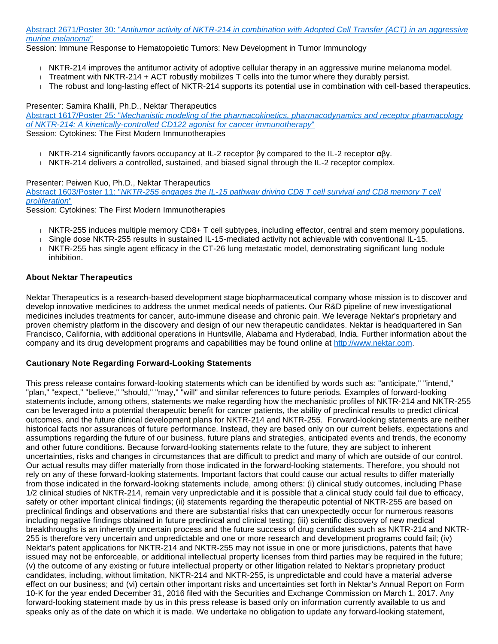Abstract 2671/Poster 30: "[Antitumor activity of NKTR-214 in combination with Adopted Cell Transfer \(ACT\) in an aggressive](http://www.nektar.com/application/files/6714/9110/3141/2017_AACR_NKTR-214_ABS_2671.pdf)  [murine melanoma](http://www.nektar.com/application/files/6714/9110/3141/2017_AACR_NKTR-214_ABS_2671.pdf)"

Session: Immune Response to Hematopoietic Tumors: New Development in Tumor Immunology

- NKTR-214 improves the antitumor activity of adoptive cellular therapy in an aggressive murine melanoma model.
- Treatment with NKTR-214 + ACT robustly mobilizes  $T$  cells into the tumor where they durably persist.
- The robust and long-lasting effect of NKTR-214 supports its potential use in combination with cell-based therapeutics.

#### Presenter: Samira Khalili, Ph.D., Nektar Therapeutics

Abstract 1617/Poster 25: "Mechanistic modeling of the pharmacokinetics, pharmacodynamics and receptor pharmacology [of NKTR-214: A kinetically-controlled CD122 agonist for cancer immunotherapy](http://www.nektar.com/application/files/4814/9110/3154/2017_AACR_NKTR-214_ABS_1617.pdf)" Session: Cytokines: The First Modern Immunotherapies

- NKTR-214 significantly favors occupancy at IL-2 receptor βγ compared to the IL-2 receptor αβγ.
- NKTR-214 delivers a controlled, sustained, and biased signal through the IL-2 receptor complex.

#### Presenter: Peiwen Kuo, Ph.D., Nektar Therapeutics

Abstract 1603/Poster 11: "[NKTR-255 engages the IL-15 pathway driving CD8 T cell survival and CD8 memory T cell](http://www.nektar.com/application/files/6214/9110/3120/2017_AACR_NKTR-255_ABS_1603.pdf)  [proliferation](http://www.nektar.com/application/files/6214/9110/3120/2017_AACR_NKTR-255_ABS_1603.pdf)"

Session: Cytokines: The First Modern Immunotherapies

- NKTR-255 induces multiple memory CD8+ T cell subtypes, including effector, central and stem memory populations.
- Single dose NKTR-255 results in sustained IL-15-mediated activity not achievable with conventional IL-15.
- NKTR-255 has single agent efficacy in the CT-26 lung metastatic model, demonstrating significant lung nodule inhibition.

### **About Nektar Therapeutics**

Nektar Therapeutics is a research-based development stage biopharmaceutical company whose mission is to discover and develop innovative medicines to address the unmet medical needs of patients. Our R&D pipeline of new investigational medicines includes treatments for cancer, auto-immune disease and chronic pain. We leverage Nektar's proprietary and proven chemistry platform in the discovery and design of our new therapeutic candidates. Nektar is headquartered in San Francisco, California, with additional operations in Huntsville, Alabama and Hyderabad, India. Further information about the company and its drug development programs and capabilities may be found online at [http://www.nektar.com.](http://www.nektar.com/)

#### **Cautionary Note Regarding Forward-Looking Statements**

This press release contains forward-looking statements which can be identified by words such as: "anticipate," "intend," "plan," "expect," "believe," "should," "may," "will" and similar references to future periods. Examples of forward-looking statements include, among others, statements we make regarding how the mechanistic profiles of NKTR-214 and NKTR-255 can be leveraged into a potential therapeutic benefit for cancer patients, the ability of preclinical results to predict clinical outcomes, and the future clinical development plans for NKTR-214 and NKTR-255. Forward-looking statements are neither historical facts nor assurances of future performance. Instead, they are based only on our current beliefs, expectations and assumptions regarding the future of our business, future plans and strategies, anticipated events and trends, the economy and other future conditions. Because forward-looking statements relate to the future, they are subject to inherent uncertainties, risks and changes in circumstances that are difficult to predict and many of which are outside of our control. Our actual results may differ materially from those indicated in the forward-looking statements. Therefore, you should not rely on any of these forward-looking statements. Important factors that could cause our actual results to differ materially from those indicated in the forward-looking statements include, among others: (i) clinical study outcomes, including Phase 1/2 clinical studies of NKTR-214, remain very unpredictable and it is possible that a clinical study could fail due to efficacy, safety or other important clinical findings; (ii) statements regarding the therapeutic potential of NKTR-255 are based on preclinical findings and observations and there are substantial risks that can unexpectedly occur for numerous reasons including negative findings obtained in future preclinical and clinical testing; (iii) scientific discovery of new medical breakthroughs is an inherently uncertain process and the future success of drug candidates such as NKTR-214 and NKTR-255 is therefore very uncertain and unpredictable and one or more research and development programs could fail; (iv) Nektar's patent applications for NKTR-214 and NKTR-255 may not issue in one or more jurisdictions, patents that have issued may not be enforceable, or additional intellectual property licenses from third parties may be required in the future; (v) the outcome of any existing or future intellectual property or other litigation related to Nektar's proprietary product candidates, including, without limitation, NKTR-214 and NKTR-255, is unpredictable and could have a material adverse effect on our business; and (vi) certain other important risks and uncertainties set forth in Nektar's Annual Report on Form 10-K for the year ended December 31, 2016 filed with the Securities and Exchange Commission on March 1, 2017. Any forward-looking statement made by us in this press release is based only on information currently available to us and speaks only as of the date on which it is made. We undertake no obligation to update any forward-looking statement,